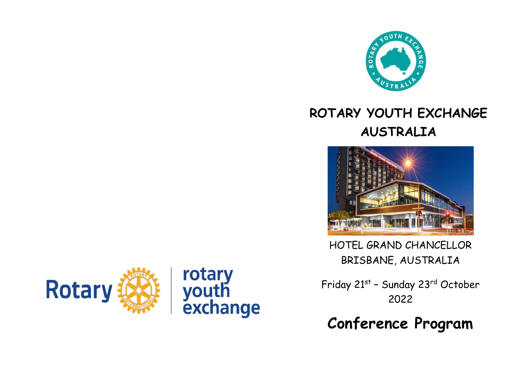

## **ROTARY YOUTH EXCHANGE AUSTRALIA**



HOTEL GRAND CHANCELLOR BRISBANE, AUSTRALIA

Friday 21st – Sunday 23rd October 2022

**Conference Program**